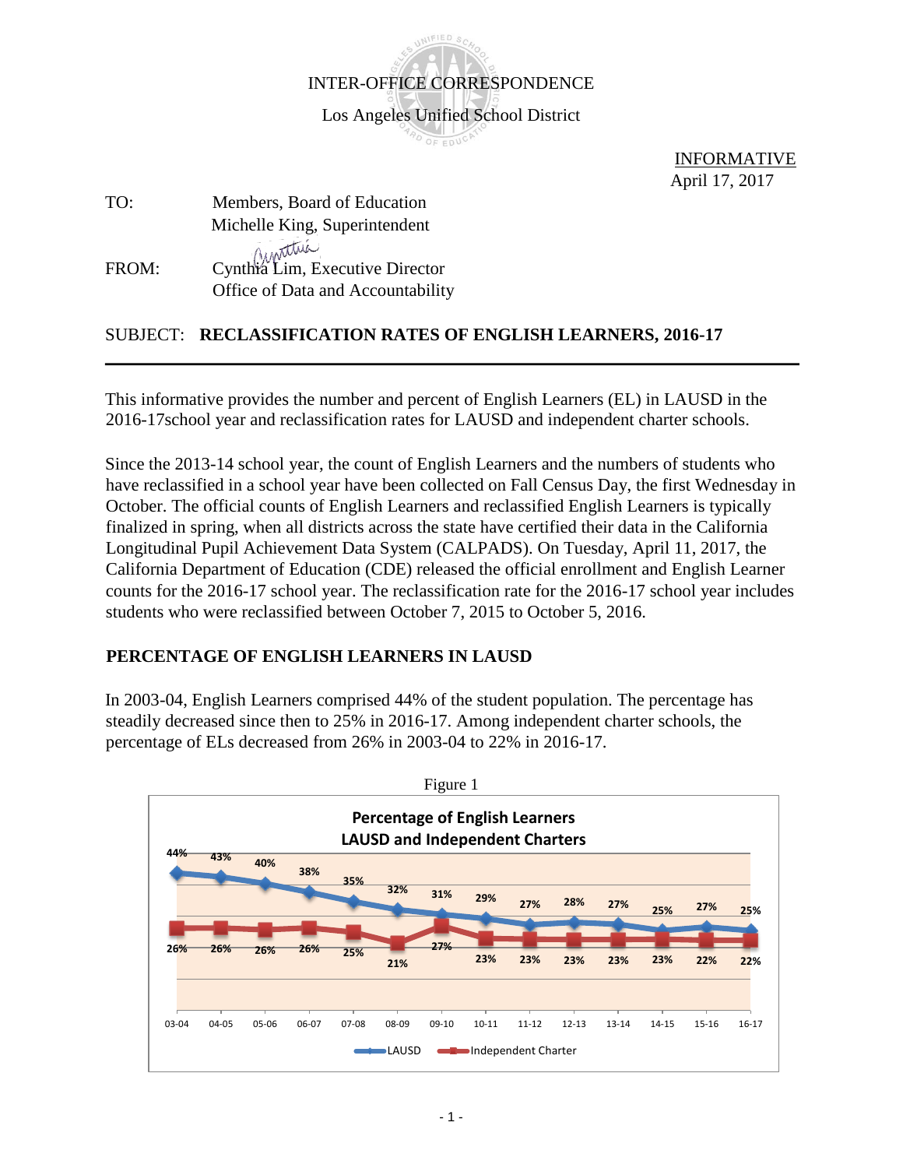

 INFORMATIVE April 17, 2017

# TO: Members, Board of Education Michelle King, Superintendent FROM: Cynthia Lim, Executive Director Office of Data and Accountability

### SUBJECT: **RECLASSIFICATION RATES OF ENGLISH LEARNERS, 2016-17**

This informative provides the number and percent of English Learners (EL) in LAUSD in the 2016-17school year and reclassification rates for LAUSD and independent charter schools.

Since the 2013-14 school year, the count of English Learners and the numbers of students who have reclassified in a school year have been collected on Fall Census Day, the first Wednesday in October. The official counts of English Learners and reclassified English Learners is typically finalized in spring, when all districts across the state have certified their data in the California Longitudinal Pupil Achievement Data System (CALPADS). On Tuesday, April 11, 2017, the California Department of Education (CDE) released the official enrollment and English Learner counts for the 2016-17 school year. The reclassification rate for the 2016-17 school year includes students who were reclassified between October 7, 2015 to October 5, 2016.

#### **PERCENTAGE OF ENGLISH LEARNERS IN LAUSD**

In 2003-04, English Learners comprised 44% of the student population. The percentage has steadily decreased since then to 25% in 2016-17. Among independent charter schools, the percentage of ELs decreased from 26% in 2003-04 to 22% in 2016-17.

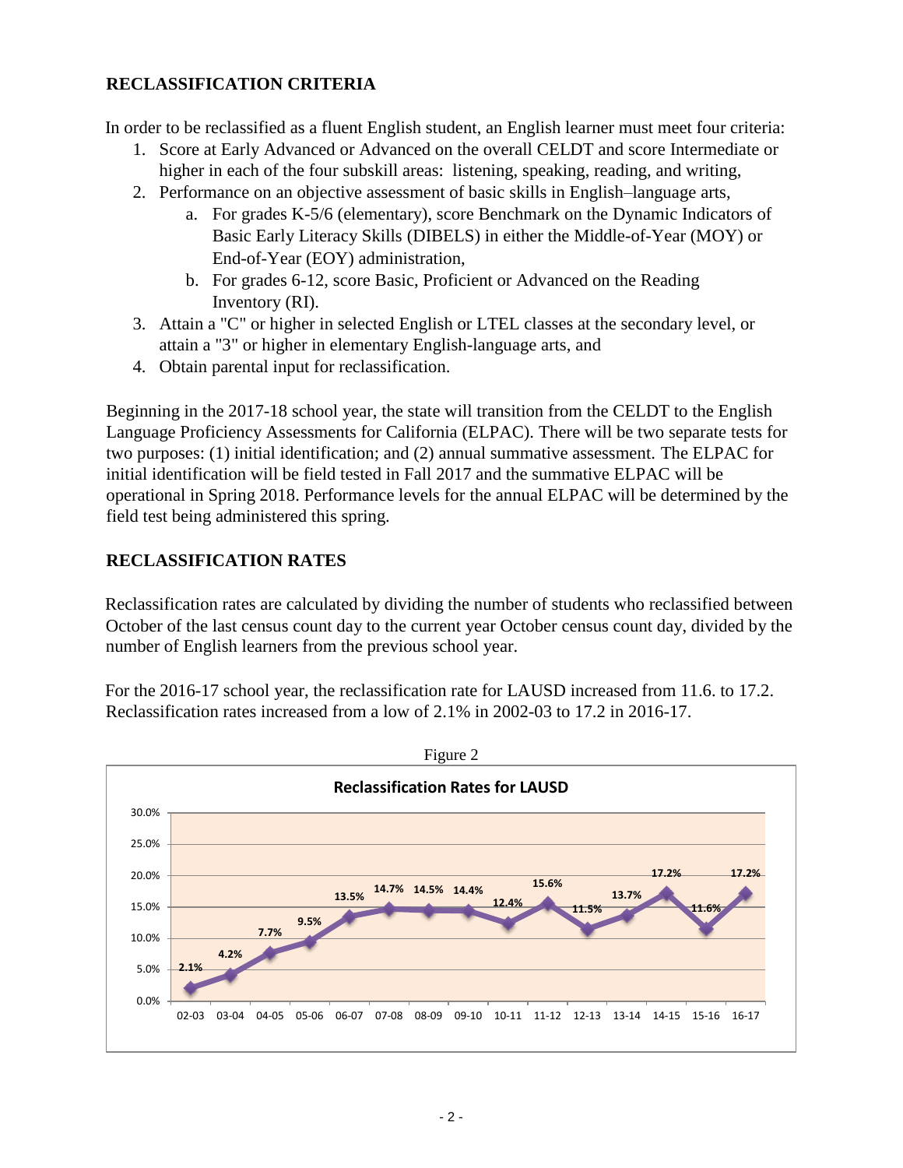#### **RECLASSIFICATION CRITERIA**

In order to be reclassified as a fluent English student, an English learner must meet four criteria:

- 1. Score at Early Advanced or Advanced on the overall CELDT and score Intermediate or higher in each of the four subskill areas: listening, speaking, reading, and writing,
- 2. Performance on an objective assessment of basic skills in English–language arts,
	- a. For grades K-5/6 (elementary), score Benchmark on the Dynamic Indicators of Basic Early Literacy Skills (DIBELS) in either the Middle-of-Year (MOY) or End-of-Year (EOY) administration,
	- b. For grades 6-12, score Basic, Proficient or Advanced on the Reading Inventory (RI).
- 3. Attain a "C" or higher in selected English or LTEL classes at the secondary level, or attain a "3" or higher in elementary English-language arts, and
- 4. Obtain parental input for reclassification.

Beginning in the 2017-18 school year, the state will transition from the CELDT to the English Language Proficiency Assessments for California (ELPAC). There will be two separate tests for two purposes: (1) initial identification; and (2) annual summative assessment. The ELPAC for initial identification will be field tested in Fall 2017 and the summative ELPAC will be operational in Spring 2018. Performance levels for the annual ELPAC will be determined by the field test being administered this spring.

## **RECLASSIFICATION RATES**

Reclassification rates are calculated by dividing the number of students who reclassified between October of the last census count day to the current year October census count day, divided by the number of English learners from the previous school year.

For the 2016-17 school year, the reclassification rate for LAUSD increased from 11.6. to 17.2. Reclassification rates increased from a low of 2.1% in 2002-03 to 17.2 in 2016-17.

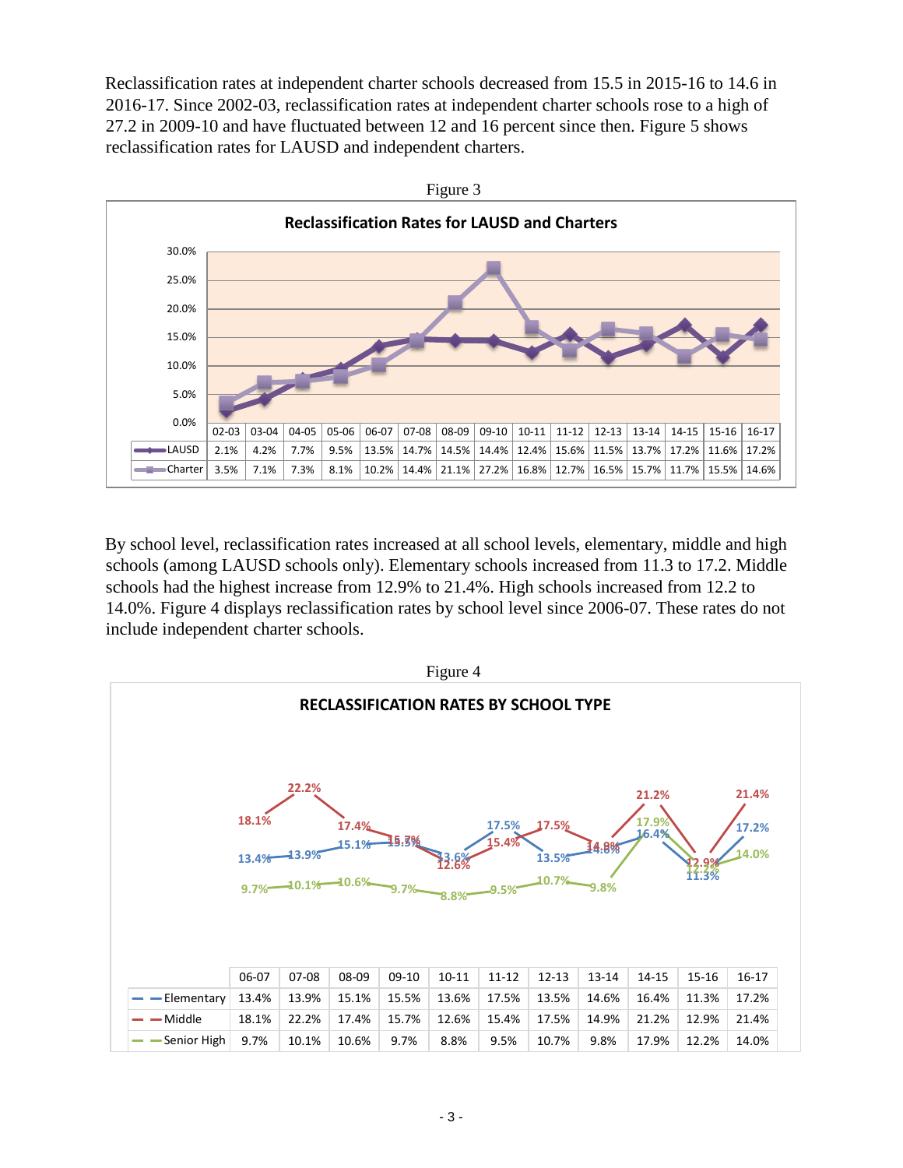Reclassification rates at independent charter schools decreased from 15.5 in 2015-16 to 14.6 in 2016-17. Since 2002-03, reclassification rates at independent charter schools rose to a high of 27.2 in 2009-10 and have fluctuated between 12 and 16 percent since then. Figure 5 shows reclassification rates for LAUSD and independent charters.



By school level, reclassification rates increased at all school levels, elementary, middle and high schools (among LAUSD schools only). Elementary schools increased from 11.3 to 17.2. Middle schools had the highest increase from 12.9% to 21.4%. High schools increased from 12.2 to 14.0%. Figure 4 displays reclassification rates by school level since 2006-07. These rates do not include independent charter schools.

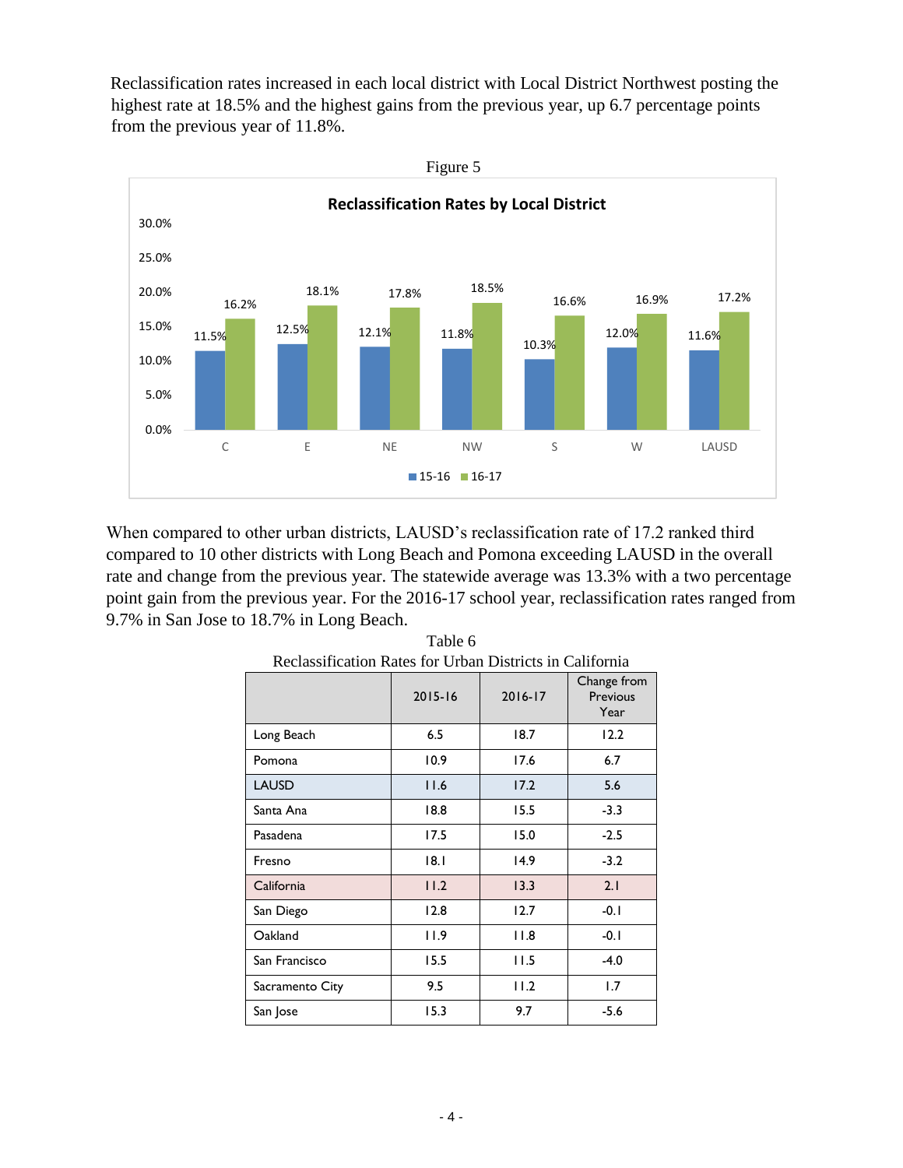Reclassification rates increased in each local district with Local District Northwest posting the highest rate at 18.5% and the highest gains from the previous year, up 6.7 percentage points from the previous year of 11.8%.



When compared to other urban districts, LAUSD's reclassification rate of 17.2 ranked third compared to 10 other districts with Long Beach and Pomona exceeding LAUSD in the overall rate and change from the previous year. The statewide average was 13.3% with a two percentage point gain from the previous year. For the 2016-17 school year, reclassification rates ranged from 9.7% in San Jose to 18.7% in Long Beach.

| Reclassification Rates for Croan Districts in Cambrina |             |         |                                 |
|--------------------------------------------------------|-------------|---------|---------------------------------|
|                                                        | $2015 - 16$ | 2016-17 | Change from<br>Previous<br>Year |
| Long Beach                                             | 6.5         | 18.7    | 12.2                            |
| Pomona                                                 | 10.9        | 17.6    | 6.7                             |
| <b>LAUSD</b>                                           | 11.6        | 17.2    | 5.6                             |
| Santa Ana                                              | 18.8        | 15.5    | $-3.3$                          |
| Pasadena                                               | 17.5        | 15.0    | $-2.5$                          |
| Fresno                                                 | 8.1         | 14.9    | $-3.2$                          |
| California                                             | 11.2        | 13.3    | 2.1                             |
| San Diego                                              | 12.8        | 12.7    | $-0.1$                          |
| Oakland                                                | 11.9        | 11.8    | $-0.1$                          |
| San Francisco                                          | 15.5        | 11.5    | $-4.0$                          |
| Sacramento City                                        | 9.5         | 11.2    | 1.7                             |
| San Jose                                               | 15.3        | 9.7     | $-5.6$                          |

Table 6 Reclassification Rates for Urban Districts in California